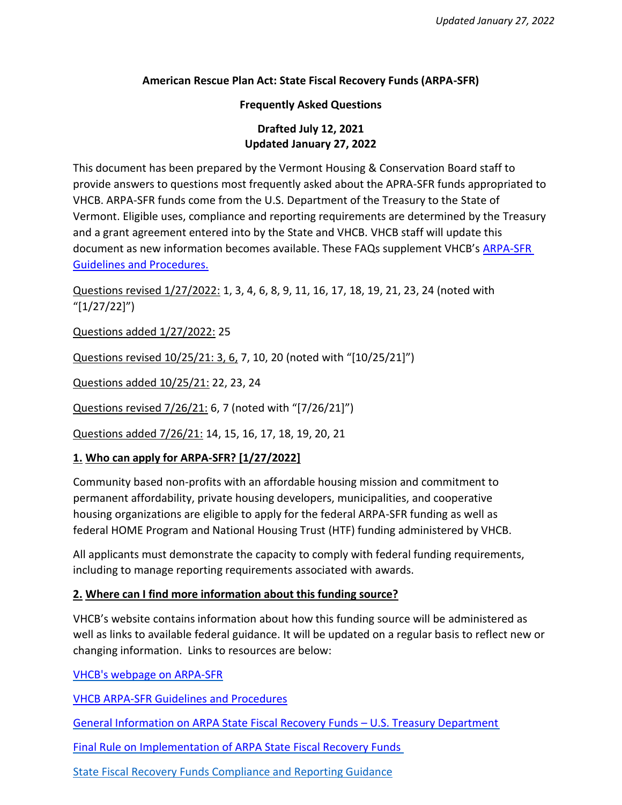### **American Rescue Plan Act: State Fiscal Recovery Funds (ARPA-SFR)**

#### **Frequently Asked Questions**

# **Drafted July 12, 2021 Updated January 27, 2022**

This document has been prepared by the Vermont Housing & Conservation Board staff to provide answers to questions most frequently asked about the APRA-SFR funds appropriated to VHCB. ARPA-SFR funds come from the U.S. Department of the Treasury to the State of Vermont. Eligible uses, compliance and reporting requirements are determined by the Treasury and a grant agreement entered into by the State and VHCB. VHCB staff will update this document as new information becomes available. These FAQs supplement VHCB's [ARPA-SFR](https://vhcb.org/sites/default/files/programs/housing/ARPA-SFR/ARPA-Guidelines-and-Procedures-Feb-1-2022.pdf)  [Guidelines and](https://vhcb.org/sites/default/files/programs/housing/ARPA-SFR/ARPA-Guidelines-and-Procedures-Feb-1-2022.pdf) Procedures.

Questions revised 1/27/2022: 1, 3, 4, 6, 8, 9, 11, 16, 17, 18, 19, 21, 23, 24 (noted with "[1/27/22]")

Questions added 1/27/2022: 25

Questions revised 10/25/21: 3, 6, 7, 10, 20 (noted with "[10/25/21]")

Questions added 10/25/21: 22, 23, 24

Questions revised 7/26/21: 6, 7 (noted with "[7/26/21]")

Questions added 7/26/21: 14, 15, 16, 17, 18, 19, 20, 21

### **1. Who can apply for ARPA-SFR? [1/27/2022]**

Community based non-profits with an affordable housing mission and commitment to permanent affordability, private housing developers, municipalities, and cooperative housing organizations are eligible to apply for the federal ARPA-SFR funding as well as federal HOME Program and National Housing Trust (HTF) funding administered by VHCB.

All applicants must demonstrate the capacity to comply with federal funding requirements, including to manage reporting requirements associated with awards.

### **2. Where can I find more information about this funding source?**

VHCB's website contains information about how this funding source will be administered as well as links to available federal guidance. It will be updated on a regular basis to reflect new or changing information. Links to resources are below:

VHCB's webpage on [ARPA-SFR](https://vhcb.org/our-programs/housing/arpa-sfr)

[VHCB ARPA-SFR Guidelines and Procedures](https://vhcb.org/sites/default/files/programs/housing/ARPA-SFR/ARPA-Guidelines-and-Procedures-Feb-1-2022.pdf)

[General Information on ARPA State Fiscal Recovery Funds](https://home.treasury.gov/policy-issues/coronavirus/assistance-for-state-local-and-tribal-governments/state-and-local-fiscal-recovery-funds) – U.S. Treasury Department

[Final Rule on Implementation of ARPA State Fiscal Recovery Funds](https://home.treasury.gov/system/files/136/SLFRF-Final-Rule.pdf)

[State Fiscal Recovery Funds Compliance and Reporting Guidance](https://home.treasury.gov/system/files/136/SLFRF-Compliance-and-Reporting-Guidance.pdf)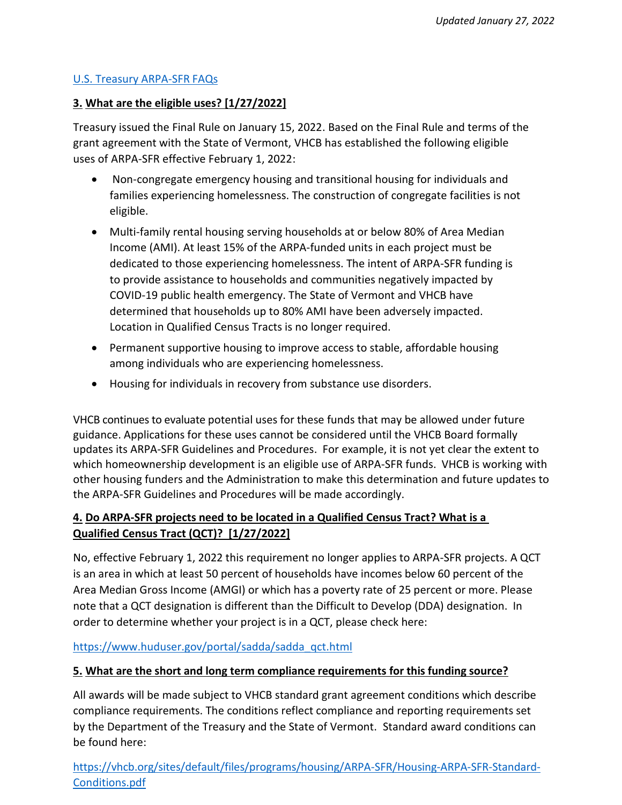### U.S. [Treasury ARPA-SFR](https://home.treasury.gov/system/files/136/SLFRPFAQ.pdf) FAQs

### **3. What are the eligible uses? [1/27/2022]**

Treasury issued the Final Rule on January 15, 2022. Based on the Final Rule and terms of the grant agreement with the State of Vermont, VHCB has established the following eligible uses of ARPA-SFR effective February 1, 2022:

- Non-congregate emergency housing and transitional housing for individuals and families experiencing homelessness. The construction of congregate facilities is not eligible.
- Multi-family rental housing serving households at or below 80% of Area Median Income (AMI). At least 15% of the ARPA-funded units in each project must be dedicated to those experiencing homelessness. The intent of ARPA-SFR funding is to provide assistance to households and communities negatively impacted by COVID-19 public health emergency. The State of Vermont and VHCB have determined that households up to 80% AMI have been adversely impacted. Location in Qualified Census Tracts is no longer required.
- Permanent supportive housing to improve access to stable, affordable housing among individuals who are experiencing homelessness.
- Housing for individuals in recovery from substance use disorders.

VHCB continues to evaluate potential uses for these funds that may be allowed under future guidance. Applications for these uses cannot be considered until the VHCB Board formally updates its ARPA-SFR Guidelines and Procedures. For example, it is not yet clear the extent to which homeownership development is an eligible use of ARPA-SFR funds. VHCB is working with other housing funders and the Administration to make this determination and future updates to the ARPA-SFR Guidelines and Procedures will be made accordingly.

# **4. Do ARPA-SFR projects need to be located in a Qualified Census Tract? What is a Qualified Census Tract (QCT)? [1/27/2022]**

No, effective February 1, 2022 this requirement no longer applies to ARPA-SFR projects. A QCT is an area in which at least 50 percent of households have incomes below 60 percent of the Area Median Gross Income (AMGI) or which has a poverty rate of 25 percent or more. Please note that a QCT designation is different than the Difficult to Develop (DDA) designation. In order to determine whether your project is in a QCT, please check here:

### [https://www.huduser.gov/portal/sadda/sadda\\_qct.html](https://www.huduser.gov/portal/sadda/sadda_qct.html)

### **5. What are the short and long term compliance requirements for this funding source?**

All awards will be made subject to VHCB standard grant agreement conditions which describe compliance requirements. The conditions reflect compliance and reporting requirements set by the Department of the Treasury and the State of Vermont. Standard award conditions can be found here:

[https://vhcb.org/sites/default/files/programs/housing/ARPA-SFR/Housing-ARPA-SFR-Standard-](https://vhcb.org/sites/default/files/programs/housing/ARPA-SFR/Housing-ARPA-SFR-Standard-Conditions.pdf)[Conditions.pdf](https://vhcb.org/sites/default/files/programs/housing/ARPA-SFR/Housing-ARPA-SFR-Standard-Conditions.pdf)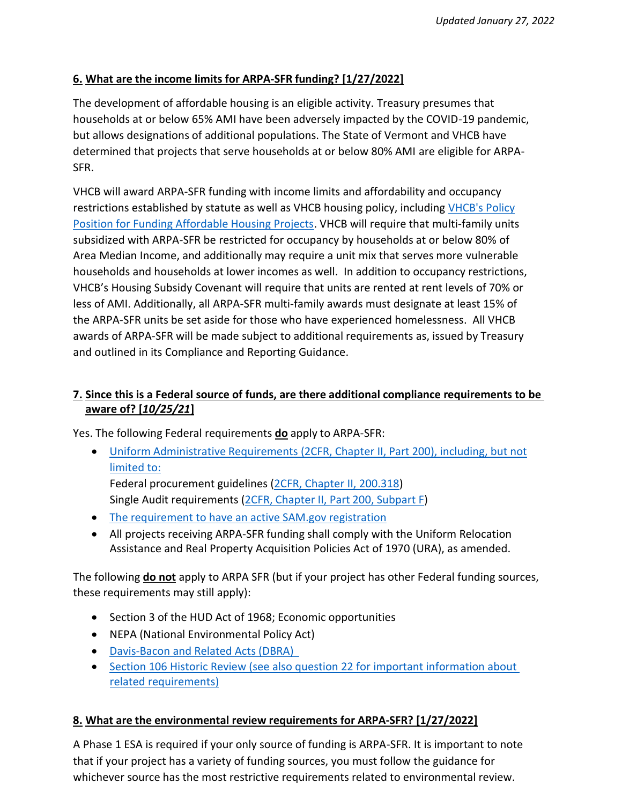## **6. What are the income limits for ARPA-SFR funding? [1/27/2022]**

The development of affordable housing is an eligible activity. Treasury presumes that households at or below 65% AMI have been adversely impacted by the COVID-19 pandemic, but allows designations of additional populations. The State of Vermont and VHCB have determined that projects that serve households at or below 80% AMI are eligible for ARPA-SFR.

VHCB will award ARPA-SFR funding with income limits and affordability and occupancy restrictions established by statute as well as VHCB housing policy, including [VHCB's Policy](https://vhcb.org/sites/default/files/policy/housing/housing.pdf) [Position for Funding Affordable Housing Projects.](https://vhcb.org/sites/default/files/policy/housing/housing.pdf) VHCB will require that multi-family units subsidized with ARPA-SFR be restricted for occupancy by households at or below 80% of Area Median Income, and additionally may require a unit mix that serves more vulnerable households and households at lower incomes as well. In addition to occupancy restrictions, VHCB's Housing Subsidy Covenant will require that units are rented at rent levels of 70% or less of AMI. Additionally, all ARPA-SFR multi-family awards must designate at least 15% of the ARPA-SFR units be set aside for those who have experienced homelessness. All VHCB awards of ARPA-SFR will be made subject to additional requirements as, issued by Treasury and outlined in its Compliance and Reporting Guidance.

# **7. Since this is a Federal source of funds, are there additional compliance requirements to be aware of? [***10/25/21***]**

Yes. The following Federal requirements **do** apply to ARPA-SFR:

 Uniform [Administrative](https://www.federalregister.gov/documents/2013/12/26/2013-30465/uniform-administrative-requirements-cost-principles-and-audit-requirements-for-federal-awards) Requirements (2CFR, Chapter II, Part 200), including, but not limited to:

Federal procurement guidelines [\(2CFR, Chapter II, 200.318\)](https://www.ecfr.gov/cgi-bin/text-idx?SID=4861c0b770d5db90c7b3e86cb534831e&mc=true&node=se2.1.200_1318&rgn=div8) Single Audit requirements (2CFR, Chapter II, Part 200, [Subpart F\)](https://www.ecfr.gov/cgi-bin/text-idx?SID=4861c0b770d5db90c7b3e86cb534831e&mc=true&node=sp2.1.200.f&rgn=div6)

- The [requirement](https://sam.gov/content/home) to have an active SAM.gov registration
- All projects receiving ARPA-SFR funding shall comply with the Uniform Relocation Assistance and Real Property Acquisition Policies Act of 1970 (URA), as amended.

The following **do not** apply to ARPA SFR (but if your project has other Federal funding sources, these requirements may still apply):

- Section 3 of the HUD Act of 1968; Economic opportunities
- NEPA (National Environmental Policy Act)
- [Davis-Bacon and](https://www.dol.gov/agencies/whd/laws-and-regulations/laws/dbra) Related Acts (DBRA)
- Section 106 Historic Review (see also question 22 for important information about related requirements)

### **8. What are the environmental review requirements for ARPA-SFR? [1/27/2022]**

A Phase 1 ESA is required if your only source of funding is ARPA-SFR. It is important to note that if your project has a variety of funding sources, you must follow the guidance for whichever source has the most restrictive requirements related to environmental review.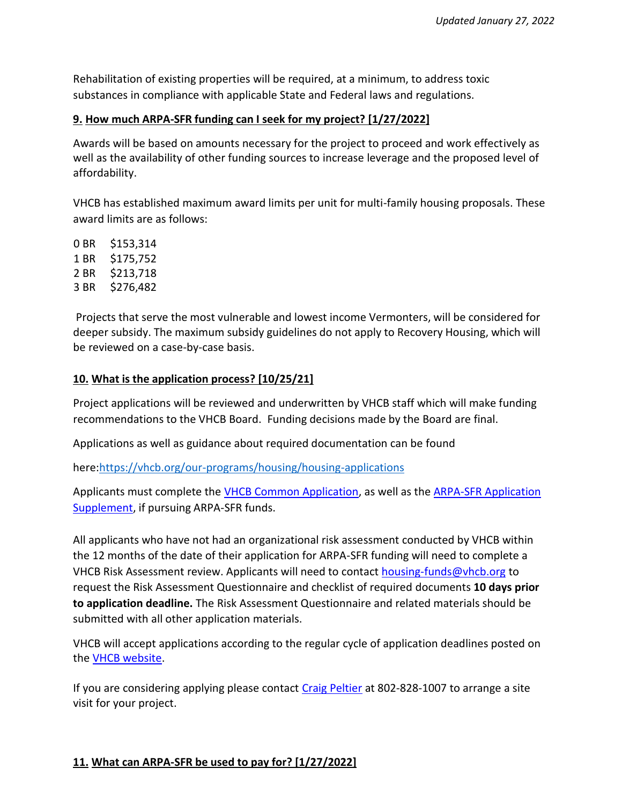Rehabilitation of existing properties will be required, at a minimum, to address toxic substances in compliance with applicable State and Federal laws and regulations.

#### **9. How much ARPA-SFR funding can I seek for my project? [1/27/2022]**

Awards will be based on amounts necessary for the project to proceed and work effectively as well as the availability of other funding sources to increase leverage and the proposed level of affordability.

VHCB has established maximum award limits per unit for multi-family housing proposals. These award limits are as follows:

0 BR \$153,314 1 BR \$175,752 2 BR \$213,718 3 BR \$276,482

Projects that serve the most vulnerable and lowest income Vermonters, will be considered for deeper subsidy. The maximum subsidy guidelines do not apply to Recovery Housing, which will be reviewed on a case-by-case basis.

#### **10. What is the application process? [10/25/21]**

Project applications will be reviewed and underwritten by VHCB staff which will make funding recommendations to the VHCB Board. Funding decisions made by the Board are final.

Applications as well as guidance about required documentation can be found

here[:https://vhcb.org/our-programs/housing/housing-applications](https://vhcb.org/our-programs/housing/housing-applications)

Applicants must complete the [VHCB Common Application,](https://www.tfaforms.com/4833216) as well as the **ARPA-SFR** Application [Supplement,](https://vhcb.org/sites/default/files/programs/housing/ARPA-SFR/ARPA-SFR-Application-Supplement-v2.pdf) if pursuing ARPA-SFR funds.

All applicants who have not had an organizational risk assessment conducted by VHCB within the 12 months of the date of their application for ARPA-SFR funding will need to complete a VHCB Risk Assessment review. Applicants will need to contact [housing-funds@vhcb.org](mailto:housing-funds@vhcb.org) to request the Risk Assessment Questionnaire and checklist of required documents **10 days prior to application deadline.** The Risk Assessment Questionnaire and related materials should be submitted with all other application materials.

VHCB will accept applications according to the regular cycle of application deadlines posted on the [VHCB website.](https://www.vhcb.org/about-us/board-meetings)

If you are considering applying please contact [Craig Peltier](mailto:craig@vhcb.org) at 802-828-1007 to arrange a site visit for your project.

#### **11. What can ARPA-SFR be used to pay for? [1/27/2022]**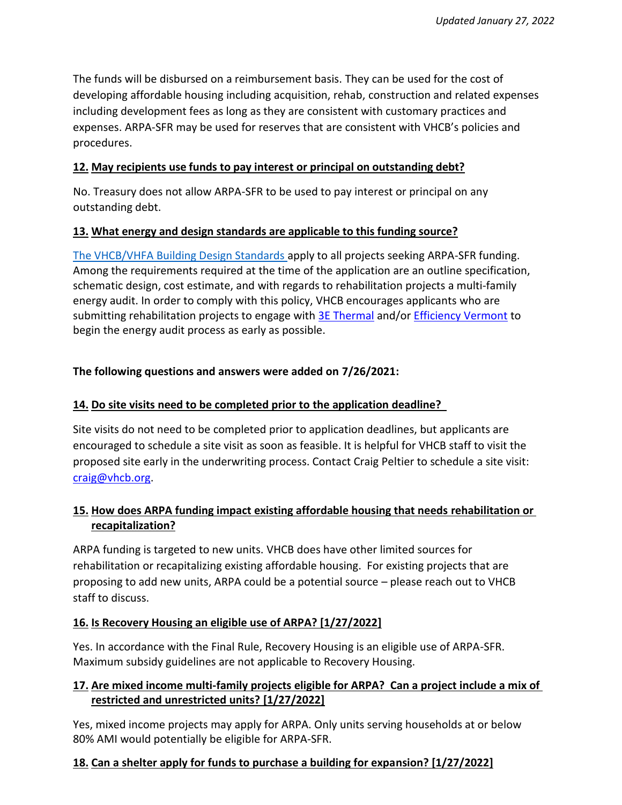The funds will be disbursed on a reimbursement basis. They can be used for the cost of developing affordable housing including acquisition, rehab, construction and related expenses including development fees as long as they are consistent with customary practices and expenses. ARPA-SFR may be used for reserves that are consistent with VHCB's policies and procedures.

## **12. May recipients use funds to pay interest or principal on outstanding debt?**

No. Treasury does not allow ARPA-SFR to be used to pay interest or principal on any outstanding debt.

### **13. What energy and design standards are applicable to this funding source?**

[The VHCB/VHFA Building Design Standards a](https://vhcb.org/sites/default/files/policy/housing/vhcb-vhfa_building_design-energy_standards_2-1-2021.pdf)pply to all projects seeking ARPA-SFR funding. Among the requirements required at the time of the application are an outline specification, schematic design, cost estimate, and with regards to rehabilitation projects a multi-family energy audit. In order to comply with this policy, VHCB encourages applicants who are submitting rehabilitation projects to engage with [3E Thermal](https://3ethermal.org/) and/or [Efficiency Vermont](https://www.efficiencyvermont.com/) to begin the energy audit process as early as possible.

### **The following questions and answers were added on 7/26/2021:**

#### **14. Do site visits need to be completed prior to the application deadline?**

Site visits do not need to be completed prior to application deadlines, but applicants are encouraged to schedule a site visit as soon as feasible. It is helpful for VHCB staff to visit the proposed site early in the underwriting process. Contact Craig Peltier to schedule a site visit: [craig@vhcb.org.](mailto:craig@vhcb.org)

## **15. How does ARPA funding impact existing affordable housing that needs rehabilitation or recapitalization?**

ARPA funding is targeted to new units. VHCB does have other limited sources for rehabilitation or recapitalizing existing affordable housing. For existing projects that are proposing to add new units, ARPA could be a potential source – please reach out to VHCB staff to discuss.

### **16. Is Recovery Housing an eligible use of ARPA? [1/27/2022]**

Yes. In accordance with the Final Rule, Recovery Housing is an eligible use of ARPA-SFR. Maximum subsidy guidelines are not applicable to Recovery Housing.

### **17. Are mixed income multi-family projects eligible for ARPA? Can a project include a mix of restricted and unrestricted units? [1/27/2022]**

Yes, mixed income projects may apply for ARPA. Only units serving households at or below 80% AMI would potentially be eligible for ARPA-SFR.

### **18. Can a shelter apply for funds to purchase a building for expansion? [1/27/2022]**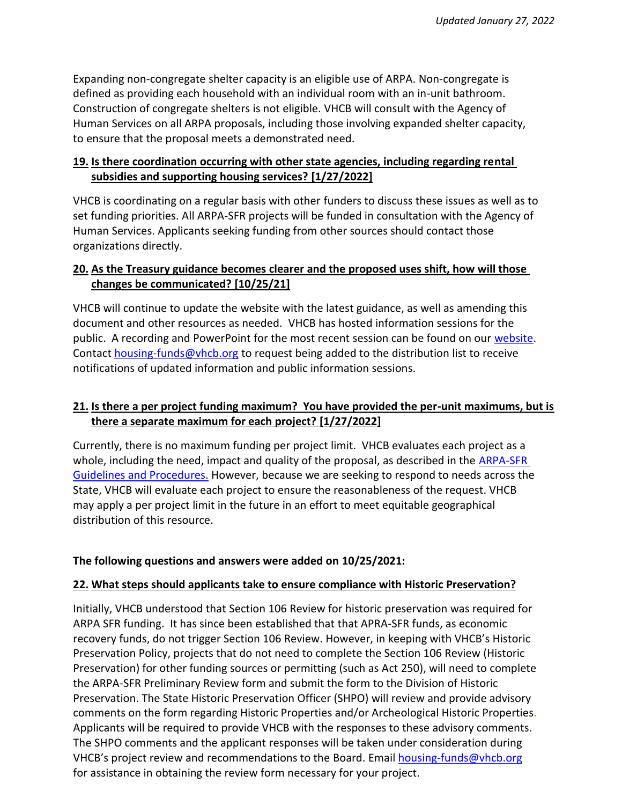Expanding non-congregate shelter capacity is an eligible use of ARPA. Non-congregate is defined as providing each household with an individual room with an in-unit bathroom. Construction of congregate shelters is not eligible. VHCB will consult with the Agency of Human Services on all ARPA proposals, including those involving expanded shelter capacity, to ensure that the proposal meets a demonstrated need.

### **19. Is there coordination occurring with other state agencies, including regarding rental subsidies and supporting housing services? [1/27/2022]**

VHCB is coordinating on a regular basis with other funders to discuss these issues as well as to set funding priorities. All ARPA-SFR projects will be funded in consultation with the Agency of Human Services. Applicants seeking funding from other sources should contact those organizations directly.

### **20. As the Treasury guidance becomes clearer and the proposed uses shift, how will those changes be communicated? [10/25/21]**

VHCB will continue to update the [website](https://www.vhcb.org/our-programs/housing/arpa-sfr) with the latest guidance, as well as amending this document and other resources as needed. VHCB has hosted information sessions for the public. A recording and PowerPoint for the most recent session can be found on our [website.](https://www.vhcb.org/our-programs/housing/arpa-sfr) Contact [housing-funds@vhcb.org](mailto:housing-funds@vhcb.org) to request being added to the distribution list to receive notifications of updated information and public information sessions.

# **21. Is there a per project funding maximum? You have provided the per-unit maximums, but is there a separate maximum for each project? [1/27/2022]**

Currently, there is no maximum funding per project limit. VHCB evaluates each project as a whole, including the need, impact and quality of the proposal, as described in the **ARPA-SFR** [Guidelines and Procedures.](https://vhcb.org/sites/default/files/programs/housing/ARPA-SFR/ARPA-Guidelines-and-Procedures-Feb-1-2022.pdf) However, because we are seeking to respond to needs across the State, VHCB will evaluate each project to ensure the reasonableness of the request. VHCB may apply a per project limit in the future in an effort to meet equitable geographical distribution of this resource.

### **The following questions and answers were added on 10/25/2021:**

### **22. What steps should applicants take to ensure compliance with Historic Preservation?**

Initially, VHCB understood that Section 106 Review for historic preservation was required for ARPA SFR funding. It has since been established that that APRA-SFR funds, as economic recovery funds, do not trigger Section 106 Review. However, in keeping with VHCB's Historic Preservation Policy, projects that do not need to complete the Section 106 Review (Historic Preservation) for other funding sources or permitting (such as Act 250), will need to complete the ARPA-SFR Preliminary Review form and submit the form to the Division of Historic Preservation. The State Historic Preservation Officer (SHPO) will review and provide advisory comments on the form regarding Historic Properties and/or Archeological Historic Properties. Applicants will be required to provide VHCB with the responses to these advisory comments. The SHPO comments and the applicant responses will be taken under consideration during VHCB's project review and recommendations to the Board. Email [housing-funds@vhcb.org](mailto:housing-funds@vhcb.org) for assistance in obtaining the review form necessary for your project.